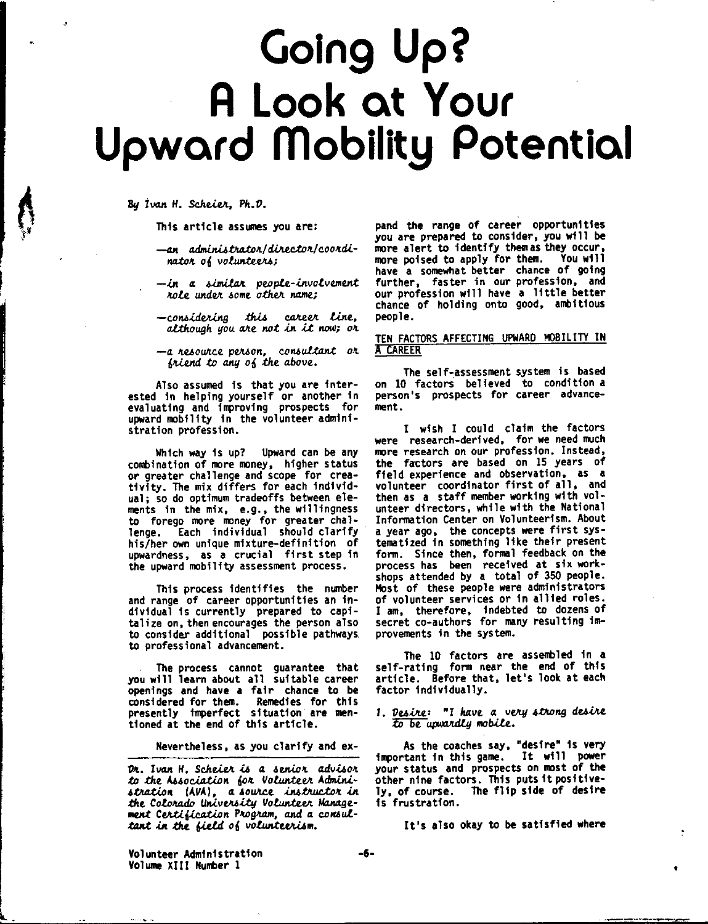## **Going Up?** A Look at Your **Upward Mobility Potential**

By Ivan H. Scheier. Ph.D.

This article assumes you are:

—an administrator/director/coordinator of volunteers;

— in a similar people-involvement role under some other name;

-considering this career line. although you are not in it now; or

-a resource person, consultant or friend to any of the above.

Also assumed is that you are interested in helping yourself or another in evaluating and improving prospects for upward mobility in the volunteer administration profession.

Which way is up? Upward can be any combination of more money, higher status or greater challenge and scope for creativity. The mix differs for each individual; so do optimum tradeoffs between elements in the mix, e.g., the willingness to forego more money for greater challenge. Each individual should clarify his/her own unique mixture-definition of upwardness, as a crucial first step in the upward mobility assessment process.

This process identifies the number and range of career opportunities an individual is currently prepared to capitalize on, then encourages the person also to consider additional possible pathways to professional advancement.

The process cannot guarantee that you will learn about all suitable career openings and have a fair chance to be considered for them. Remedies for this<br>presently imperfect situation are mentioned at the end of this article.

Nevertheless, as you clarify and ex-

pand the range of career opportunities you are prepared to consider, you will be more alert to identify them as they occur, more poised to apply for them. You will have a somewhat better chance of going further, faster in our profession, and our profession will have a little better chance of holding onto good, ambitious people.

## TEN FACTORS AFFECTING UPWARD MOBILITY IN **A CAREER**

The self-assessment system is based on 10 factors believed to condition a person's prospects for career advancement.

I wish I could claim the factors were research-derived, for we need much more research on our profession. Instead, the factors are based on 15 years of field experience and observation, as a volunteer coordinator first of all, and then as a staff member working with volunteer directors, while with the National Information Center on Volunteerism. About a year ago, the concepts were first systematized in something like their present form. Since then, formal feedback on the process has been received at six workshops attended by a total of 350 people. Most of these people were administrators of volunteer services or in allied roles. I am, therefore, indebted to dozens of<br>secret co-authors for many resulting improvements in the system.

The 10 factors are assembled in a self-rating form near the end of this article. Before that, let's look at each factor individually.

1. Desire: "I have a very strong desire to be upwardly mobile.

As the coaches say, "desire" is very<br>important in this game. It will power your status and prospects on most of the other nine factors. This puts it positive-The flip side of desire ly, of course. is frustration.

It's also okay to be satisfied where

Volunteer Administration Volume XIII Number 1

Dr. Ivan H. Scheier is a senior advisor to the Association for Volunteer Administration (AVA), a source instructor in the Colorado University Volunteer Management Certification Program, and a consultant in the field of volunteerism.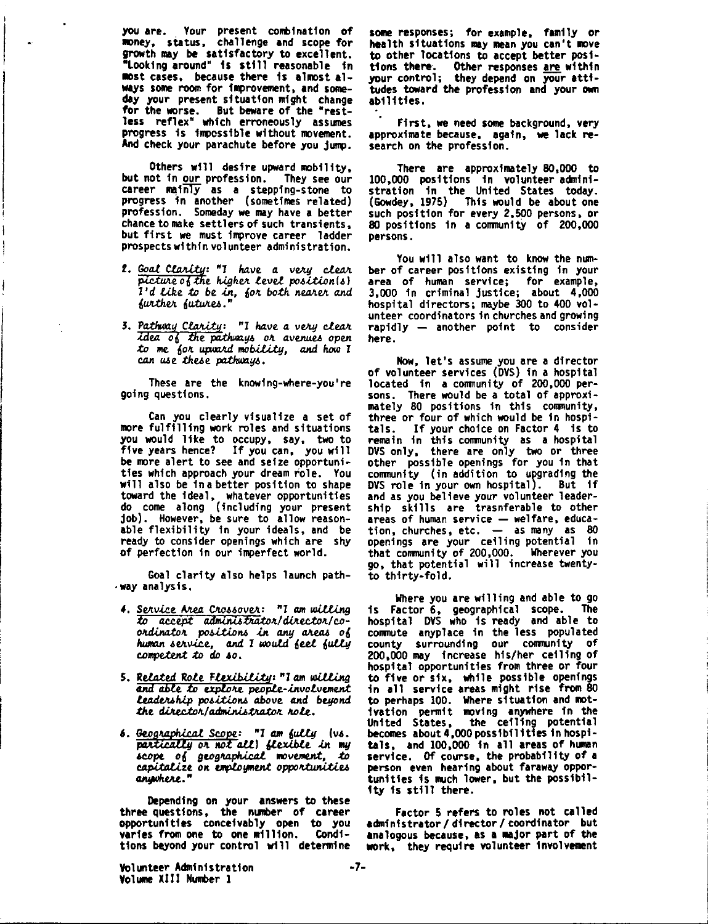you are. Your present combination of money, status, challenge and scope for growth may be satisfactory to excellent. "Looking around" 1s still reasonable In most cases, because there is almost always some room for improvement, and someday your present situation might change for the worse. But beware of the "restless reflex" which erroneously assumes progress fs Impossible without movement. And check your parachute before you jump.

Others will desire upward mobility, but not in our profession. career mainly **as a** stepping-stone to progress fn another (sometimes related) profession. Someday **we** may have **a** better chance to make settlers of such transients, but first **we** must improve career ladder prospects within volunteer administration.

- **2.** Goal Clarity: "I have a very clear picture of the *higher level* position(s) *I'd Like to be in, for both nearer and* further futures."
- 3. Pathway Clarity: "I have a very clear *idea of the pathways or avenues open .to* **Me** *60-'t up,Jll/J.d* MOb.iU.tg, and *how l*  can use these pathways.

These are the knowing-where-you're going questions.

Can you clearly visualize **a** set of more fulfilling work roles and situations you would like to occupy, say, two to five years hence? If you can, you will be more alert to see and seize opportunities which approach your dream role. You **will** also be in a better position to shape toward the ideal,<sub>.</sub> whatever opportunitie do come along (including your present job). However, be sure to allow reasonable flexibility fn your ideals, and be ready to consider openings which are shy of perfection in our imperfect world.

Goal clarity also helps launch path- **•way** analysis.

- 4. Service Area Crossover: "I am willing  $to$  accept administrator/director/co*ordinator* positions in any areas of human service, and I would feel fully *c.o,npe.ten.t :t.o do* 40.
- **S. Related Role Flexibility: "I am willing<br><b>and able to explore people-involvement** *Leadership positions above and beyond tht diM.c.toJt/adttw.ni.l.tlUJ.t.oJt* Jtole.
- **6.** Geographical Scope: "I am fully (vs.  $partically$  or not all) flexible in my •cope 06 9eo9Jtaphl.caL ..,vement, *.to*  capitalize on employment opportunities

**Depending on** your **answers to these**  three questions, the number of career **opportunities conceivably open** to you varies from one to one million. Conditions beyond your control will determine

**some** responses; for example, family or health situations may mean you can't move to other locations to accept better positions **there.** Other responses **are within**  your contro 1; they **depend** on your **atti**tudes **toward the** profession and your **own**  abilities.

First, **we** need some background, very approximate because, **again, we** lack research on the profession.

There are approximately 80,000 to 100,000 positions in volunteer.administration fn the United States today. (Gowdey, 1975) This would be about one such position for every 2,500 persons, or **80** positions fn **a** community of 200,000 persons.

You will also want to know the number of career positions existing fn your **area** of human service; for example, 3,000 in criminal justice; about 4,000 hospital directors; maybe 300 to 400 volunteer coordinators fn churches and growing rapidly  $-$  another point to consider here .

Now, let's assume you are a director of volunteer services (OVS) fn **a** hospital located fn **a** conmunity of 200,000 persons. There would be a total of approximately 80 positions in this conmunity, three or four of which would be fn hospitals. If your choice on Factor 4 is to remain fn this conmunfty **as a** hospital OVS only, there are only two or three other possible openings for you fn that comnunity (in addition to upgrading the DYS role in your own hospital). But ff and as you believe your volunteer leadership skills are trasnferable to other areas of human service  $-$  welfare, education, churches, etc.  $-$  as many as 80 openings are your ceiling potential in that community of 200,000. Wherever you go, that potential will increase twentyto thirty-fold.

Where you are willing and able to go is Factor 6, geographical scope. The hospital DYS who fs ready and able to comnute anyplace fn the less populated county surrounding our community of 200,000 may increase his/her ceiling of hospital opportunities from three or four to five or six, while possible openings fn all service areas might rise from 80 to perhaps 100. Where situation and motlvatfon permit moving anywhere fn the United States, the ceiling potentia becomes about 4,000 possibilities fn hospitals, and 100,000 in all areas of human service. Of course, the probability of a person even hearing about faraway opportunities Is much lower, but the possibility Is still there.

Factor 5 refers to roles not called administrator / director / coordinator but analogous because, as a major part of the work, they require volunteer involvement

Volunteer Administration **Volume** XIII Number 1